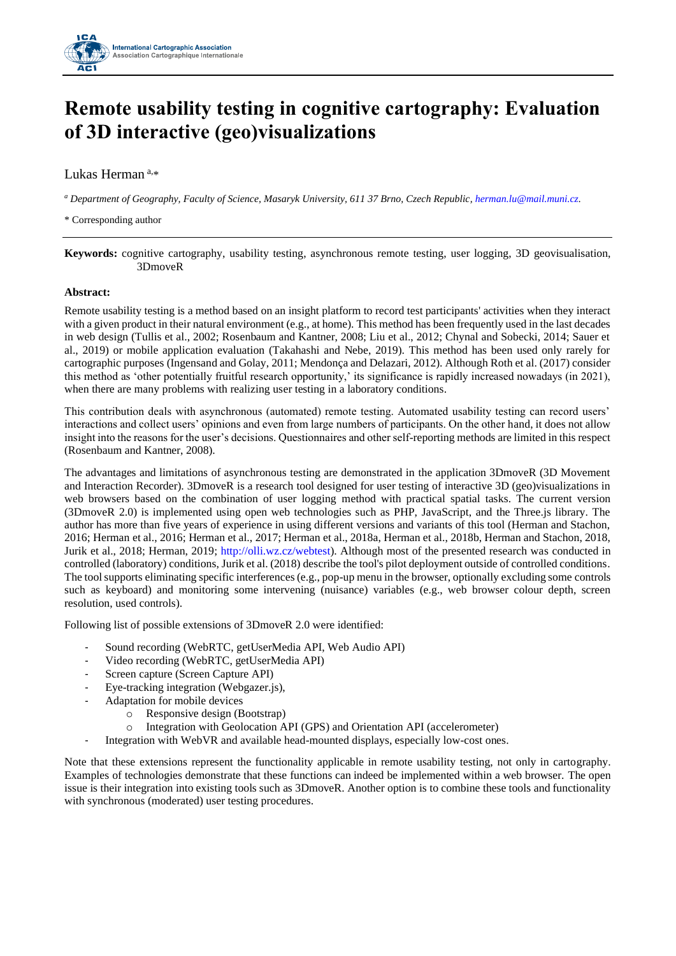

## **Remote usability testing in cognitive cartography: Evaluation of 3D interactive (geo)visualizations**

Lukas Herman<sup>a,\*</sup>

*<sup>a</sup> Department of Geography, Faculty of Science, Masaryk University, 611 37 Brno, Czech Republic[, herman.lu@mail.muni.cz.](mailto:herman.lu@mail.muni.cz)*

\* Corresponding author

**Keywords:** cognitive cartography, usability testing, asynchronous remote testing, user logging, 3D geovisualisation, 3DmoveR

## **Abstract:**

Remote usability testing is a method based on an insight platform to record test participants' activities when they interact with a given product in their natural environment (e.g., at home). This method has been frequently used in the last decades in web design (Tullis et al., 2002; Rosenbaum and Kantner, 2008; Liu et al., 2012; Chynal and Sobecki, 2014; Sauer et al., 2019) or mobile application evaluation (Takahashi and Nebe, 2019). This method has been used only rarely for cartographic purposes (Ingensand and Golay, 2011; Mendonça and Delazari, 2012). Although Roth et al. (2017) consider this method as 'other potentially fruitful research opportunity,' its significance is rapidly increased nowadays (in 2021), when there are many problems with realizing user testing in a laboratory conditions.

This contribution deals with asynchronous (automated) remote testing. Automated usability testing can record users' interactions and collect users' opinions and even from large numbers of participants. On the other hand, it does not allow insight into the reasons for the user's decisions. Questionnaires and other self-reporting methods are limited in this respect (Rosenbaum and Kantner, 2008).

The advantages and limitations of asynchronous testing are demonstrated in the application 3DmoveR (3D Movement and Interaction Recorder). 3DmoveR is a research tool designed for user testing of interactive 3D (geo)visualizations in web browsers based on the combination of user logging method with practical spatial tasks. The current version (3DmoveR 2.0) is implemented using open web technologies such as PHP, JavaScript, and the Three.js library. The author has more than five years of experience in using different versions and variants of this tool (Herman and Stachon, 2016; Herman et al., 2016; Herman et al., 2017; Herman et al., 2018a, Herman et al., 2018b, Herman and Stachon, 2018, Jurik et al., 2018; Herman, 2019; [http://olli.wz.cz/webtest\)](http://olli.wz.cz/webtest/). Although most of the presented research was conducted in controlled (laboratory) conditions, Jurik et al. (2018) describe the tool's pilot deployment outside of controlled conditions. The tool supports eliminating specific interferences (e.g., pop-up menu in the browser, optionally excluding some controls such as keyboard) and monitoring some intervening (nuisance) variables (e.g., web browser colour depth, screen resolution, used controls).

Following list of possible extensions of 3DmoveR 2.0 were identified:

- Sound recording (WebRTC, getUserMedia API, Web Audio API)
- Video recording (WebRTC, getUserMedia API)
- Screen capture (Screen Capture API)
- Eye-tracking integration (Webgazer.js),
- Adaptation for mobile devices
	- o Responsive design (Bootstrap)
	- o Integration with Geolocation API (GPS) and Orientation API (accelerometer)
- Integration with WebVR and available head-mounted displays, especially low-cost ones.

Note that these extensions represent the functionality applicable in remote usability testing, not only in cartography. Examples of technologies demonstrate that these functions can indeed be implemented within a web browser. The open issue is their integration into existing tools such as 3DmoveR. Another option is to combine these tools and functionality with synchronous (moderated) user testing procedures.